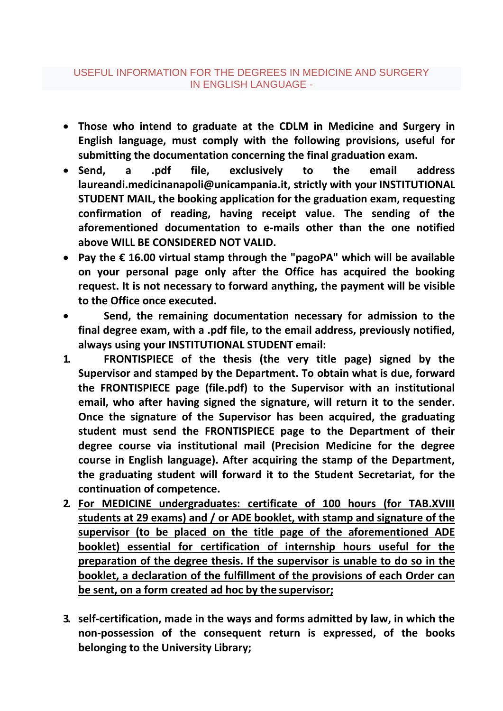- **Those who intend to graduate at the CDLM in Medicine and Surgery in English language, must comply with the following provisions, useful for submitting the documentation concerning the final graduation exam.**
- **Send, a .pdf file, exclusively to the email addres[s](mailto:laureandi.medicinanapoli@unicampania.it) [laureandi.medicinanapoli@unicampania.it,](mailto:laureandi.medicinanapoli@unicampania.it) strictly with your INSTITUTIONAL STUDENT MAIL, the booking application for the graduation exam, requesting confirmation of reading, having receipt value. The sending of the aforementioned documentation to e-mails other than the one notified above WILL BE CONSIDERED NOT VALID.**
- **Pay the € 16.00 virtual stamp through the "pagoPA" which will be available on your personal page only after the Office has acquired the booking request. It is not necessary to forward anything, the payment will be visible to the Office once executed.**
- **Send, the remaining documentation necessary for admission to the final degree exam, with a .pdf file, to the email address, previously notified, always using your INSTITUTIONAL STUDENT email:**
- **1. FRONTISPIECE of the thesis (the very title page) signed by the Supervisor and stamped by the Department. To obtain what is due, forward the FRONTISPIECE page (file.pdf) to the Supervisor with an institutional email, who after having signed the signature, will return it to the sender. Once the signature of the Supervisor has been acquired, the graduating student must send the FRONTISPIECE page to the Department of their degree course via institutional mail (Precision Medicine for the degree course in English language). After acquiring the stamp of the Department, the graduating student will forward it to the Student Secretariat, for the continuation of competence.**
- **2. For MEDICINE undergraduates: certificate of 100 hours (for TAB.XVIII students at 29 exams) and / or ADE booklet, with stamp and signature of the supervisor (to be placed on the title page of the aforementioned ADE booklet) essential for certification of internship hours useful for the preparation of the degree thesis. If the supervisor is unable to do so in the booklet, a declaration of the fulfillment of the provisions of each Order can be sent, on a form created ad hoc by the supervisor;**
- **3. self-certification, made in the ways and forms admitted by law, in which the non-possession of the consequent return is expressed, of the books belonging to the University Library;**